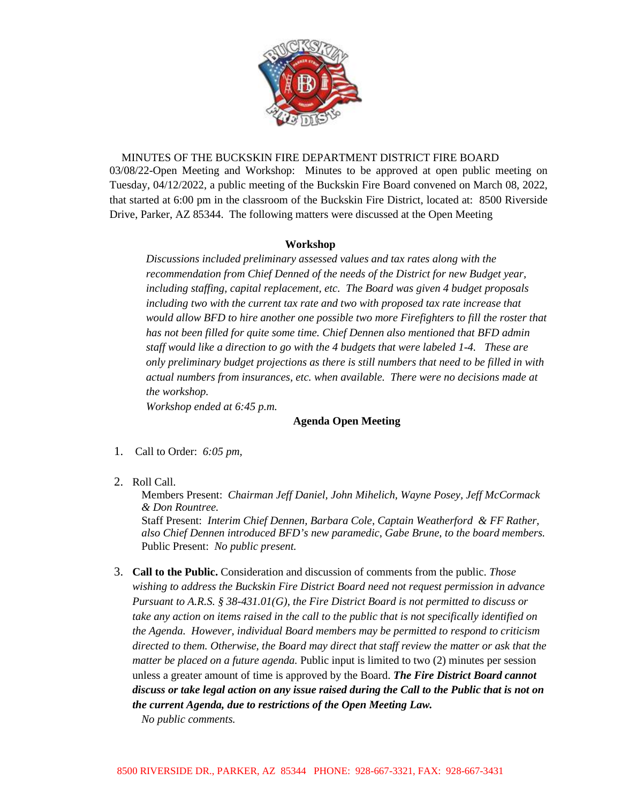

MINUTES OF THE BUCKSKIN FIRE DEPARTMENT DISTRICT FIRE BOARD 03/08/22-Open Meeting and Workshop: Minutes to be approved at open public meeting on Tuesday, 04/12/2022, a public meeting of the Buckskin Fire Board convened on March 08, 2022, that started at 6:00 pm in the classroom of the Buckskin Fire District, located at: 8500 Riverside Drive, Parker, AZ 85344. The following matters were discussed at the Open Meeting

## **Workshop**

*Discussions included preliminary assessed values and tax rates along with the recommendation from Chief Denned of the needs of the District for new Budget year, including staffing, capital replacement, etc. The Board was given 4 budget proposals including two with the current tax rate and two with proposed tax rate increase that would allow BFD to hire another one possible two more Firefighters to fill the roster that has not been filled for quite some time. Chief Dennen also mentioned that BFD admin staff would like a direction to go with the 4 budgets that were labeled 1-4. These are only preliminary budget projections as there is still numbers that need to be filled in with actual numbers from insurances, etc. when available. There were no decisions made at the workshop.* 

*Workshop ended at 6:45 p.m.*

## **Agenda Open Meeting**

- 1. Call to Order: *6:05 pm,*
- 2. Roll Call.

Members Present: *Chairman Jeff Daniel, John Mihelich, Wayne Posey, Jeff McCormack & Don Rountree.* 

Staff Present: *Interim Chief Dennen, Barbara Cole, Captain Weatherford & FF Rather, also Chief Dennen introduced BFD's new paramedic, Gabe Brune, to the board members.* Public Present: *No public present.*

3. **Call to the Public.** Consideration and discussion of comments from the public. *Those wishing to address the Buckskin Fire District Board need not request permission in advance Pursuant to A.R.S. § 38-431.01(G), the Fire District Board is not permitted to discuss or take any action on items raised in the call to the public that is not specifically identified on the Agenda. However, individual Board members may be permitted to respond to criticism directed to them. Otherwise, the Board may direct that staff review the matter or ask that the matter be placed on a future agenda.* Public input is limited to two (2) minutes per session unless a greater amount of time is approved by the Board. *The Fire District Board cannot discuss or take legal action on any issue raised during the Call to the Public that is not on the current Agenda, due to restrictions of the Open Meeting Law.*

*No public comments.*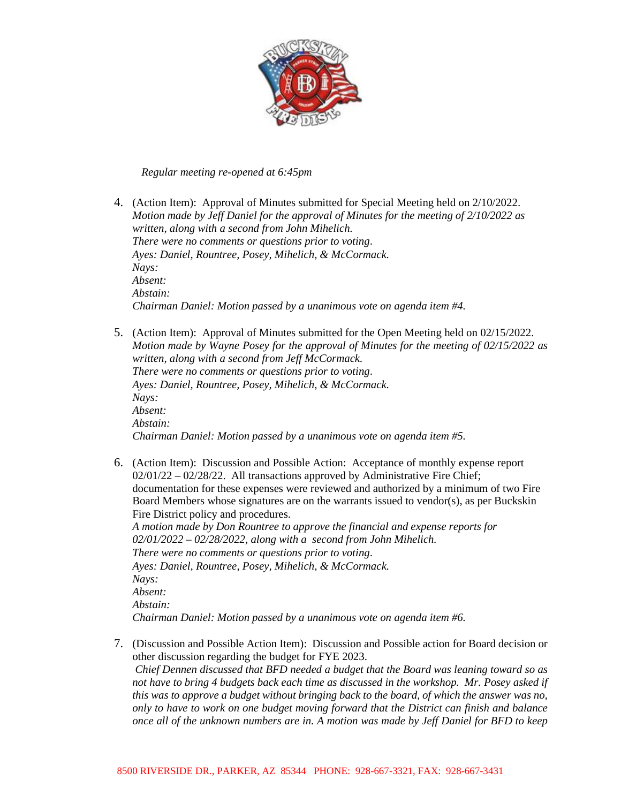

## *Regular meeting re-opened at 6:45pm*

- 4. (Action Item): Approval of Minutes submitted for Special Meeting held on 2/10/2022. *Motion made by Jeff Daniel for the approval of Minutes for the meeting of 2/10/2022 as written, along with a second from John Mihelich. There were no comments or questions prior to voting*. *Ayes: Daniel, Rountree, Posey, Mihelich, & McCormack. Nays: Absent: Abstain: Chairman Daniel: Motion passed by a unanimous vote on agenda item #4.*
- 5. (Action Item): Approval of Minutes submitted for the Open Meeting held on 02/15/2022. *Motion made by Wayne Posey for the approval of Minutes for the meeting of 02/15/2022 as written, along with a second from Jeff McCormack. There were no comments or questions prior to voting*. *Ayes: Daniel, Rountree, Posey, Mihelich, & McCormack. Nays: Absent: Abstain: Chairman Daniel: Motion passed by a unanimous vote on agenda item #5.*
- 6. (Action Item): Discussion and Possible Action: Acceptance of monthly expense report 02/01/22 – 02/28/22. All transactions approved by Administrative Fire Chief; documentation for these expenses were reviewed and authorized by a minimum of two Fire Board Members whose signatures are on the warrants issued to vendor(s), as per Buckskin Fire District policy and procedures.

*A motion made by Don Rountree to approve the financial and expense reports for 02/01/2022 – 02/28/2022, along with a second from John Mihelich. There were no comments or questions prior to voting*. *Ayes: Daniel, Rountree, Posey, Mihelich, & McCormack. Nays: Absent: Abstain: Chairman Daniel: Motion passed by a unanimous vote on agenda item #6.*

7. (Discussion and Possible Action Item): Discussion and Possible action for Board decision or other discussion regarding the budget for FYE 2023. *Chief Dennen discussed that BFD needed a budget that the Board was leaning toward so as not have to bring 4 budgets back each time as discussed in the workshop. Mr. Posey asked if this was to approve a budget without bringing back to the board, of which the answer was no, only to have to work on one budget moving forward that the District can finish and balance once all of the unknown numbers are in. A motion was made by Jeff Daniel for BFD to keep*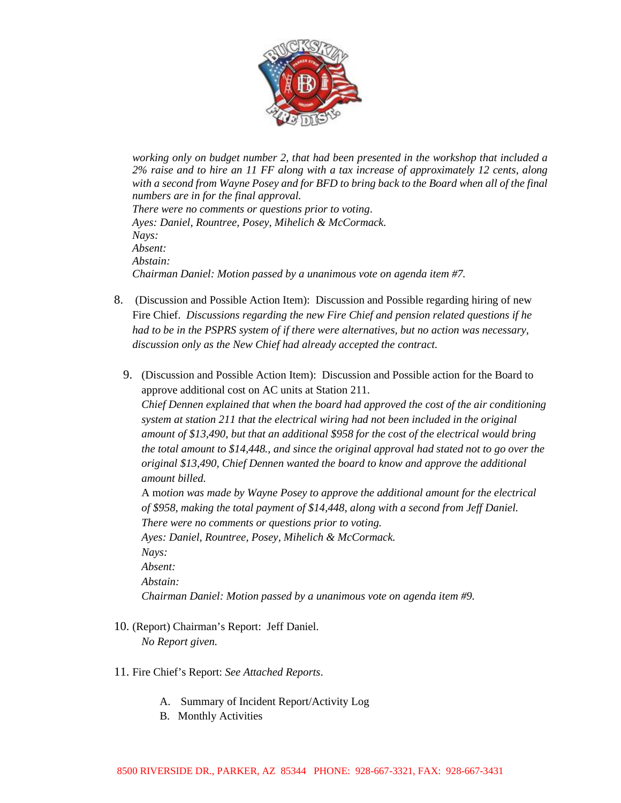

*working only on budget number 2, that had been presented in the workshop that included a 2% raise and to hire an 11 FF along with a tax increase of approximately 12 cents, along with a second from Wayne Posey and for BFD to bring back to the Board when all of the final numbers are in for the final approval. There were no comments or questions prior to voting*. *Ayes: Daniel, Rountree, Posey, Mihelich & McCormack. Nays: Absent: Abstain: Chairman Daniel: Motion passed by a unanimous vote on agenda item #7.* 

- 8. (Discussion and Possible Action Item): Discussion and Possible regarding hiring of new Fire Chief. *Discussions regarding the new Fire Chief and pension related questions if he had to be in the PSPRS system of if there were alternatives, but no action was necessary, discussion only as the New Chief had already accepted the contract.*
	- 9. (Discussion and Possible Action Item): Discussion and Possible action for the Board to approve additional cost on AC units at Station 211. *Chief Dennen explained that when the board had approved the cost of the air conditioning system at station 211 that the electrical wiring had not been included in the original amount of \$13,490, but that an additional \$958 for the cost of the electrical would bring the total amount to \$14,448., and since the original approval had stated not to go over the original \$13,490, Chief Dennen wanted the board to know and approve the additional amount billed.* A m*otion was made by Wayne Posey to approve the additional amount for the electrical of \$958, making the total payment of \$14,448, along with a second from Jeff Daniel. There were no comments or questions prior to voting. Ayes: Daniel, Rountree, Posey, Mihelich & McCormack. Nays:*

*Absent: Abstain: Chairman Daniel: Motion passed by a unanimous vote on agenda item #9.*

10. (Report) Chairman's Report: Jeff Daniel.

*No Report given.* 

- 11. Fire Chief's Report: *See Attached Reports*.
	- A. Summary of Incident Report/Activity Log
	- B. Monthly Activities